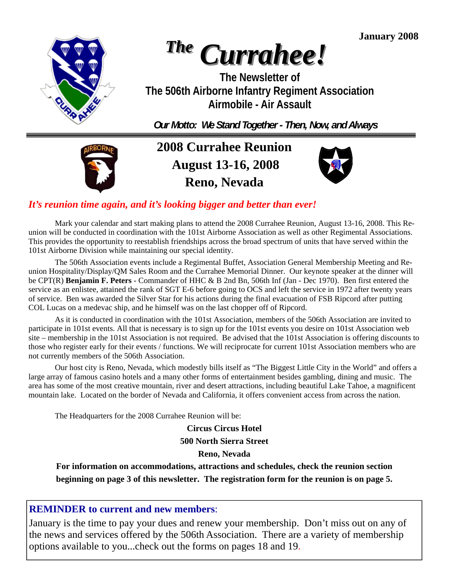**January 2008** 



# *The Currahee!*

**The Newsletter of The 506th Airborne Infantry Regiment Association Airmobile - Air Assault** 

*Our Motto: We Stand Together - Then, Now, and Always* 



**2008 Currahee Reunion August 13-16, 2008 Reno, Nevada** 



### *It's reunion time again, and it's looking bigger and better than ever!*

 Mark your calendar and start making plans to attend the 2008 Currahee Reunion, August 13-16, 2008. This Reunion will be conducted in coordination with the 101st Airborne Association as well as other Regimental Associations. This provides the opportunity to reestablish friendships across the broad spectrum of units that have served within the 101st Airborne Division while maintaining our special identity.

 The 506th Association events include a Regimental Buffet, Association General Membership Meeting and Reunion Hospitality/Display/QM Sales Room and the Currahee Memorial Dinner. Our keynote speaker at the dinner will be CPT(R) **Benjamin F. Peters** - Commander of HHC & B 2nd Bn, 506th Inf (Jan - Dec 1970). Ben first entered the service as an enlistee, attained the rank of SGT E-6 before going to OCS and left the service in 1972 after twenty years of service. Ben was awarded the Silver Star for his actions during the final evacuation of FSB Ripcord after putting COL Lucas on a medevac ship, and he himself was on the last chopper off of Ripcord.

 As it is conducted in coordination with the 101st Association, members of the 506th Association are invited to participate in 101st events. All that is necessary is to sign up for the 101st events you desire on 101st Association web site – membership in the 101st Association is not required. Be advised that the 101st Association is offering discounts to those who register early for their events / functions. We will reciprocate for current 101st Association members who are not currently members of the 506th Association.

 Our host city is Reno, Nevada, which modestly bills itself as "The Biggest Little City in the World" and offers a large array of famous casino hotels and a many other forms of entertainment besides gambling, dining and music. The area has some of the most creative mountain, river and desert attractions, including beautiful Lake Tahoe, a magnificent mountain lake. Located on the border of Nevada and California, it offers convenient access from across the nation.

The Headquarters for the 2008 Currahee Reunion will be:

**Circus Circus Hotel 500 North Sierra Street** 

#### **Reno, Nevada**

**For information on accommodations, attractions and schedules, check the reunion section beginning on page 3 of this newsletter. The registration form for the reunion is on page 5.** 

### **REMINDER to current and new members**:

 options available to you...check out the forms on pages 18 and 19. January is the time to pay your dues and renew your membership. Don't miss out on any of the news and services offered by the 506th Association. There are a variety of membership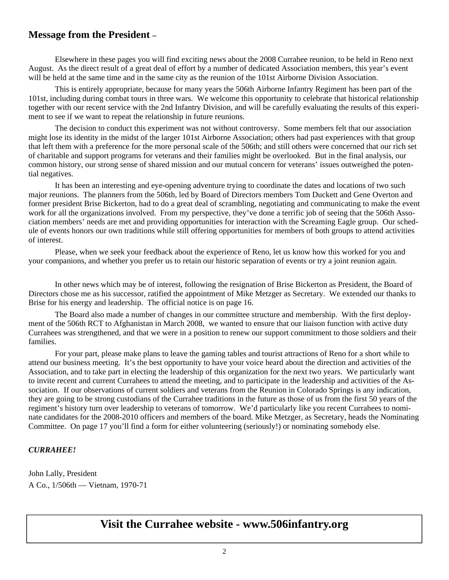#### **Message from the President –**

 Elsewhere in these pages you will find exciting news about the 2008 Currahee reunion, to be held in Reno next August. As the direct result of a great deal of effort by a number of dedicated Association members, this year's event will be held at the same time and in the same city as the reunion of the 101st Airborne Division Association.

 This is entirely appropriate, because for many years the 506th Airborne Infantry Regiment has been part of the 101st, including during combat tours in three wars. We welcome this opportunity to celebrate that historical relationship together with our recent service with the 2nd Infantry Division, and will be carefully evaluating the results of this experiment to see if we want to repeat the relationship in future reunions.

 The decision to conduct this experiment was not without controversy. Some members felt that our association might lose its identity in the midst of the larger 101st Airborne Association; others had past experiences with that group that left them with a preference for the more personal scale of the 506th; and still others were concerned that our rich set of charitable and support programs for veterans and their families might be overlooked. But in the final analysis, our common history, our strong sense of shared mission and our mutual concern for veterans' issues outweighed the potential negatives.

 It has been an interesting and eye-opening adventure trying to coordinate the dates and locations of two such major reunions. The planners from the 506th, led by Board of Directors members Tom Duckett and Gene Overton and former president Brise Bickerton, had to do a great deal of scrambling, negotiating and communicating to make the event work for all the organizations involved. From my perspective, they've done a terrific job of seeing that the 506th Association members' needs are met and providing opportunities for interaction with the Screaming Eagle group. Our schedule of events honors our own traditions while still offering opportunities for members of both groups to attend activities of interest.

 Please, when we seek your feedback about the experience of Reno, let us know how this worked for you and your companions, and whether you prefer us to retain our historic separation of events or try a joint reunion again.

 In other news which may be of interest, following the resignation of Brise Bickerton as President, the Board of Directors chose me as his successor, ratified the appointment of Mike Metzger as Secretary. We extended our thanks to Brise for his energy and leadership. The official notice is on page 16.

 The Board also made a number of changes in our committee structure and membership. With the first deployment of the 506th RCT to Afghanistan in March 2008, we wanted to ensure that our liaison function with active duty Currahees was strengthened, and that we were in a position to renew our support commitment to those soldiers and their families.

 For your part, please make plans to leave the gaming tables and tourist attractions of Reno for a short while to attend our business meeting. It's the best opportunity to have your voice heard about the direction and activities of the Association, and to take part in electing the leadership of this organization for the next two years. We particularly want to invite recent and current Currahees to attend the meeting, and to participate in the leadership and activities of the Association. If our observations of current soldiers and veterans from the Reunion in Colorado Springs is any indication, they are going to be strong custodians of the Currahee traditions in the future as those of us from the first 50 years of the regiment's history turn over leadership to veterans of tomorrow. We'd particularly like you recent Currahees to nominate candidates for the 2008-2010 officers and members of the board. Mike Metzger, as Secretary, heads the Nominating Committee. On page 17 you'll find a form for either volunteering (seriously!) or nominating somebody else.

#### *CURRAHEE!*

John Lally, President A Co., 1/506th — Vietnam, 1970-71

### **Visit the Currahee website - www.506infantry.org**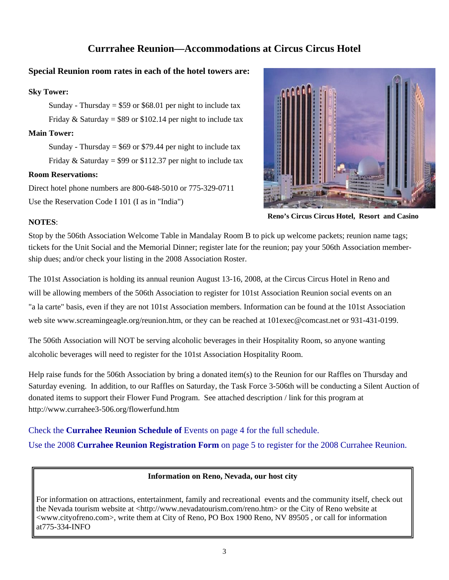#### **Currrahee Reunion—Accommodations at Circus Circus Hotel**

#### **Special Reunion room rates in each of the hotel towers are:**

#### **Sky Tower:**

Sunday - Thursday =  $$59$  or  $$68.01$  per night to include tax Friday & Saturday =  $$89$  or  $$102.14$  per night to include tax

#### **Main Tower:**

Sunday - Thursday =  $$69$  or \$79.44 per night to include tax Friday & Saturday = \$99 or \$112.37 per night to include tax

#### **Room Reservations:**

Direct hotel phone numbers are 800-648-5010 or 775-329-0711 Use the Reservation Code I 101 (I as in "India")



**Reno's Circus Circus Hotel, Resort and Casino** 

#### **NOTES**:

Stop by the 506th Association Welcome Table in Mandalay Room B to pick up welcome packets; reunion name tags; tickets for the Unit Social and the Memorial Dinner; register late for the reunion; pay your 506th Association membership dues; and/or check your listing in the 2008 Association Roster.

The 101st Association is holding its annual reunion August 13-16, 2008, at the Circus Circus Hotel in Reno and will be allowing members of the 506th Association to register for 101st Association Reunion social events on an "a la carte" basis, even if they are not 101st Association members. Information can be found at the 101st Association web site www.screamingeagle.org/reunion.htm, or they can be reached at 101exec@comcast.net or 931-431-0199.

The 506th Association will NOT be serving alcoholic beverages in their Hospitality Room, so anyone wanting alcoholic beverages will need to register for the 101st Association Hospitality Room.

Help raise funds for the 506th Association by bring a donated item(s) to the Reunion for our Raffles on Thursday and Saturday evening. In addition, to our Raffles on Saturday, the Task Force 3-506th will be conducting a Silent Auction of donated items to support their Flower Fund Program. See attached description / link for this program at http://www.currahee3-506.org/flowerfund.htm

Check the **Currahee Reunion Schedule of** Events on page 4 for the full schedule.

Use the 2008 **Currahee Reunion Registration Form** on page 5 to register for the 2008 Currahee Reunion.

#### **Information on Reno, Nevada, our host city**

For information on attractions, entertainment, family and recreational events and the community itself, check out the Nevada tourism website at <http://www.nevadatourism.com/reno.htm> or the City of Reno website at <www.cityofreno.com>, write them at City of Reno, PO Box 1900 Reno, NV 89505 , or call for information at775-334-INFO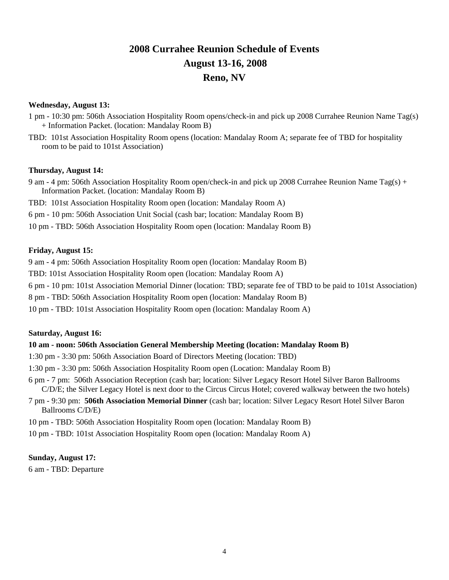### **2008 Currahee Reunion Schedule of Events August 13-16, 2008 Reno, NV**

#### **Wednesday, August 13:**

- 1 pm 10:30 pm: 506th Association Hospitality Room opens/check-in and pick up 2008 Currahee Reunion Name Tag(s) + Information Packet. (location: Mandalay Room B)
- TBD: 101st Association Hospitality Room opens (location: Mandalay Room A; separate fee of TBD for hospitality room to be paid to 101st Association)

#### **Thursday, August 14:**

- 9 am 4 pm: 506th Association Hospitality Room open/check-in and pick up 2008 Currahee Reunion Name Tag(s) + Information Packet. (location: Mandalay Room B)
- TBD: 101st Association Hospitality Room open (location: Mandalay Room A)
- 6 pm 10 pm: 506th Association Unit Social (cash bar; location: Mandalay Room B)
- 10 pm TBD: 506th Association Hospitality Room open (location: Mandalay Room B)

#### **Friday, August 15:**

9 am - 4 pm: 506th Association Hospitality Room open (location: Mandalay Room B)

TBD: 101st Association Hospitality Room open (location: Mandalay Room A)

6 pm - 10 pm: 101st Association Memorial Dinner (location: TBD; separate fee of TBD to be paid to 101st Association)

8 pm - TBD: 506th Association Hospitality Room open (location: Mandalay Room B)

10 pm - TBD: 101st Association Hospitality Room open (location: Mandalay Room A)

#### **Saturday, August 16:**

#### **10 am - noon: 506th Association General Membership Meeting (location: Mandalay Room B)**

- 1:30 pm 3:30 pm: 506th Association Board of Directors Meeting (location: TBD)
- 1:30 pm 3:30 pm: 506th Association Hospitality Room open (Location: Mandalay Room B)
- 6 pm 7 pm: 506th Association Reception (cash bar; location: Silver Legacy Resort Hotel Silver Baron Ballrooms C/D/E; the Silver Legacy Hotel is next door to the Circus Circus Hotel; covered walkway between the two hotels)
- 7 pm 9:30 pm: **506th Association Memorial Dinner** (cash bar; location: Silver Legacy Resort Hotel Silver Baron Ballrooms C/D/E)
- 10 pm TBD: 506th Association Hospitality Room open (location: Mandalay Room B)
- 10 pm TBD: 101st Association Hospitality Room open (location: Mandalay Room A)

#### **Sunday, August 17:**

6 am - TBD: Departure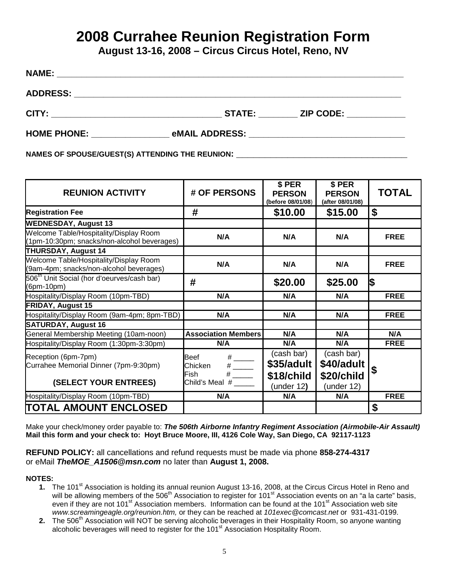# **2008 Currahee Reunion Registration Form**

**August 13-16, 2008 – Circus Circus Hotel, Reno, NV** 

| <b>NAME:</b>    |                                                                                                                       |                                                             |  |
|-----------------|-----------------------------------------------------------------------------------------------------------------------|-------------------------------------------------------------|--|
| <b>ADDRESS:</b> | <u> 1989 - John Stoff, deutscher Stoff, der Stoff, der Stoff, der Stoff, der Stoff, der Stoff, der Stoff, der Sto</u> |                                                             |  |
|                 | <b>STATE:</b>                                                                                                         | <b>ZIP CODE: ____________</b>                               |  |
| HOME PHONE:     | eMAIL ADDRESS: ___                                                                                                    | <u> 1980 - Jan Sterling, amerikansk politiker (d. 1980)</u> |  |

NAMES OF SPOUSE/GUEST(S) ATTENDING THE REUNION:

| <b>REUNION ACTIVITY</b>                                                               | # OF PERSONS                                                                                                                                                                          | \$ PER<br><b>PERSON</b><br>(before 08/01/08)            | \$ PER<br><b>PERSON</b><br>(after 08/01/08)          | <b>TOTAL</b> |
|---------------------------------------------------------------------------------------|---------------------------------------------------------------------------------------------------------------------------------------------------------------------------------------|---------------------------------------------------------|------------------------------------------------------|--------------|
| <b>Registration Fee</b>                                                               | #                                                                                                                                                                                     | \$10.00                                                 | \$15.00                                              | \$           |
| <b>WEDNESDAY, August 13</b>                                                           |                                                                                                                                                                                       |                                                         |                                                      |              |
| Welcome Table/Hospitality/Display Room<br>(1pm-10:30pm; snacks/non-alcohol beverages) | N/A                                                                                                                                                                                   | N/A                                                     | N/A                                                  | <b>FREE</b>  |
| THURSDAY, August 14                                                                   |                                                                                                                                                                                       |                                                         |                                                      |              |
| Welcome Table/Hospitality/Display Room<br>(9am-4pm; snacks/non-alcohol beverages)     | N/A                                                                                                                                                                                   | N/A                                                     | N/A                                                  | <b>FREE</b>  |
| 506 <sup>th</sup> Unit Social (hor d'oeurves/cash bar)<br>(6pm-10pm)                  | #                                                                                                                                                                                     | \$20.00                                                 | \$25.00                                              | 1\$          |
| Hospitality/Display Room (10pm-TBD)                                                   | N/A                                                                                                                                                                                   | N/A                                                     | N/A                                                  | <b>FREE</b>  |
| <b>FRIDAY, August 15</b>                                                              |                                                                                                                                                                                       |                                                         |                                                      |              |
| Hospitality/Display Room (9am-4pm; 8pm-TBD)                                           | N/A                                                                                                                                                                                   | N/A                                                     | N/A                                                  | <b>FREE</b>  |
| <b>SATURDAY, August 16</b>                                                            |                                                                                                                                                                                       |                                                         |                                                      |              |
| General Membership Meeting (10am-noon)                                                | <b>Association Members</b>                                                                                                                                                            | N/A                                                     | N/A                                                  | N/A          |
| Hospitality/Display Room (1:30pm-3:30pm)                                              | N/A                                                                                                                                                                                   | N/A                                                     | N/A                                                  | <b>FREE</b>  |
| Reception (6pm-7pm)<br>Currahee Memorial Dinner (7pm-9:30pm)<br>(SELECT YOUR ENTREES) | <b>Beef</b><br>$\begin{array}{c}\n# \quad \quad \quad \text{---} \\ \hline\n\text{---} \\ \end{array}$<br>Chicken<br>$#$ <sub>-------</sub><br><b>Fish</b><br>Child's Meal $#$ ______ | (cash bar)<br>\$35/adult<br>\$18/child<br>(under $12$ ) | (cash bar)<br>\$40/adult<br>\$20/child<br>(under 12) |              |
| Hospitality/Display Room (10pm-TBD)                                                   | N/A                                                                                                                                                                                   | N/A                                                     | N/A                                                  | <b>FREE</b>  |
| <b>TOTAL AMOUNT ENCLOSED</b>                                                          |                                                                                                                                                                                       |                                                         |                                                      | \$           |

Make your check/money order payable to: *The 506th Airborne Infantry Regiment Association (Airmobile-Air Assault)* **Mail this form and your check to: Hoyt Bruce Moore, III, 4126 Cole Way, San Diego, CA 92117-1123**

**REFUND POLICY:** all cancellations and refund requests must be made via phone **858-274-4317**  or eMail *TheMOE\_A1506@msn.com* no later than **August 1, 2008.** 

#### **NOTES:**

- **1.** The 101<sup>st</sup> Association is holding its annual reunion August 13-16, 2008, at the Circus Circus Hotel in Reno and will be allowing members of the 506<sup>th</sup> Association to register for 101<sup>st</sup> Association events on an "a la carte" basis, even if they are not 101<sup>st</sup> Association members. Information can be found at the 101<sup>st</sup> Association web site *www.screamingeagle.org/reunion.htm,* or they can be reached at *101exec@comcast.net* or 931-431-0199.
- 2. The 506<sup>th</sup> Association will NOT be serving alcoholic beverages in their Hospitality Room, so anyone wanting alcoholic beverages will need to register for the 101<sup>st</sup> Association Hospitality Room.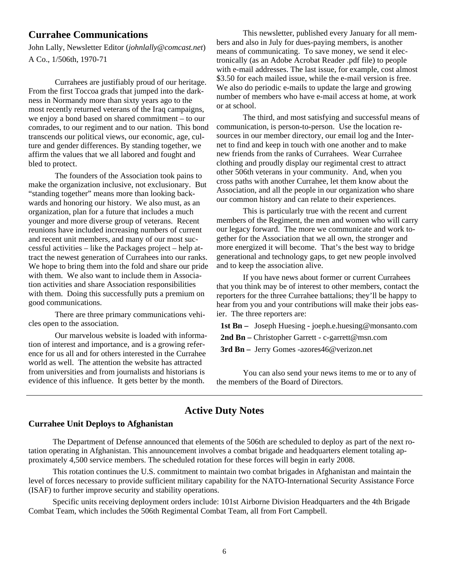#### **Currahee Communications**

John Lally, Newsletter Editor (*johnlally@comcast.net*) A Co., 1/506th, 1970-71

 Currahees are justifiably proud of our heritage. From the first Toccoa grads that jumped into the darkness in Normandy more than sixty years ago to the most recently returned veterans of the Iraq campaigns, we enjoy a bond based on shared commitment – to our comrades, to our regiment and to our nation. This bond transcends our political views, our economic, age, culture and gender differences. By standing together, we affirm the values that we all labored and fought and bled to protect.

 The founders of the Association took pains to make the organization inclusive, not exclusionary. But "standing together" means more than looking backwards and honoring our history. We also must, as an organization, plan for a future that includes a much younger and more diverse group of veterans. Recent reunions have included increasing numbers of current and recent unit members, and many of our most successful activities – like the Packages project – help attract the newest generation of Currahees into our ranks. We hope to bring them into the fold and share our pride with them. We also want to include them in Association activities and share Association responsibilities with them. Doing this successfully puts a premium on good communications.

 There are three primary communications vehicles open to the association.

 Our marvelous website is loaded with information of interest and importance, and is a growing reference for us all and for others interested in the Currahee world as well. The attention the website has attracted from universities and from journalists and historians is evidence of this influence. It gets better by the month.

 This newsletter, published every January for all members and also in July for dues-paying members, is another means of communicating. To save money, we send it electronically (as an Adobe Acrobat Reader .pdf file) to people with e-mail addresses. The last issue, for example, cost almost \$3.50 for each mailed issue, while the e-mail version is free. We also do periodic e-mails to update the large and growing number of members who have e-mail access at home, at work or at school.

 The third, and most satisfying and successful means of communication, is person-to-person. Use the location resources in our member directory, our email log and the Internet to find and keep in touch with one another and to make new friends from the ranks of Currahees. Wear Currahee clothing and proudly display our regimental crest to attract other 506th veterans in your community. And, when you cross paths with another Currahee, let them know about the Association, and all the people in our organization who share our common history and can relate to their experiences.

 This is particularly true with the recent and current members of the Regiment, the men and women who will carry our legacy forward. The more we communicate and work together for the Association that we all own, the stronger and more energized it will become. That's the best way to bridge generational and technology gaps, to get new people involved and to keep the association alive.

 If you have news about former or current Currahees that you think may be of interest to other members, contact the reporters for the three Currahee battalions; they'll be happy to hear from you and your contributions will make their jobs easier. The three reporters are:

 **1st Bn –** Joseph Huesing - joeph.e.huesing@monsanto.com

 **2nd Bn –** Christopher Garrett - c-garrett@msn.com

 **3rd Bn –** Jerry Gomes -azores46@verizon.net

 You can also send your news items to me or to any of the members of the Board of Directors.

#### **Active Duty Notes**

#### **Currahee Unit Deploys to Afghanistan**

 The Department of Defense announced that elements of the 506th are scheduled to deploy as part of the next rotation operating in Afghanistan. This announcement involves a combat brigade and headquarters element totaling approximately 4,500 service members. The scheduled rotation for these forces will begin in early 2008.

 This rotation continues the U.S. commitment to maintain two combat brigades in Afghanistan and maintain the level of forces necessary to provide sufficient military capability for the NATO-International Security Assistance Force (ISAF) to further improve security and stability operations.

 Specific units receiving deployment orders include: 101st Airborne Division Headquarters and the 4th Brigade Combat Team, which includes the 506th Regimental Combat Team, all from Fort Campbell.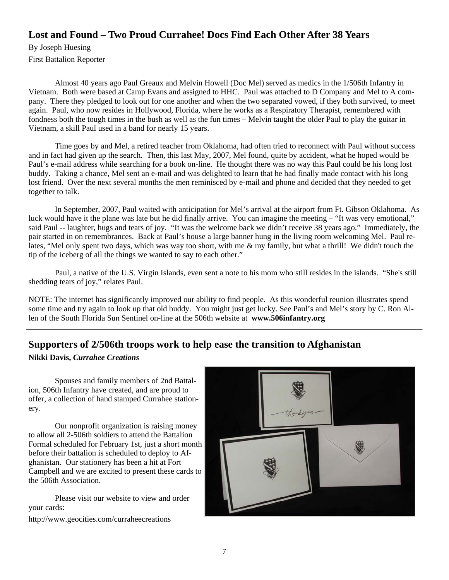### **Lost and Found – Two Proud Currahee! Docs Find Each Other After 38 Years**

By Joseph Huesing First Battalion Reporter

 Almost 40 years ago Paul Greaux and Melvin Howell (Doc Mel) served as medics in the 1/506th Infantry in Vietnam. Both were based at Camp Evans and assigned to HHC. Paul was attached to D Company and Mel to A company. There they pledged to look out for one another and when the two separated vowed, if they both survived, to meet again. Paul, who now resides in Hollywood, Florida, where he works as a Respiratory Therapist, remembered with fondness both the tough times in the bush as well as the fun times – Melvin taught the older Paul to play the guitar in Vietnam, a skill Paul used in a band for nearly 15 years.

 Time goes by and Mel, a retired teacher from Oklahoma, had often tried to reconnect with Paul without success and in fact had given up the search. Then, this last May, 2007, Mel found, quite by accident, what he hoped would be Paul's e-mail address while searching for a book on-line. He thought there was no way this Paul could be his long lost buddy. Taking a chance, Mel sent an e-mail and was delighted to learn that he had finally made contact with his long lost friend. Over the next several months the men reminisced by e-mail and phone and decided that they needed to get together to talk.

 In September, 2007, Paul waited with anticipation for Mel's arrival at the airport from Ft. Gibson Oklahoma. As luck would have it the plane was late but he did finally arrive. You can imagine the meeting – "It was very emotional," said Paul -- laughter, hugs and tears of joy. "It was the welcome back we didn't receive 38 years ago." Immediately, the pair started in on remembrances. Back at Paul's house a large banner hung in the living room welcoming Mel. Paul relates, "Mel only spent two days, which was way too short, with me & my family, but what a thrill! We didn't touch the tip of the iceberg of all the things we wanted to say to each other."

 Paul, a native of the U.S. Virgin Islands, even sent a note to his mom who still resides in the islands. "She's still shedding tears of joy," relates Paul.

NOTE: The internet has significantly improved our ability to find people. As this wonderful reunion illustrates spend some time and try again to look up that old buddy. You might just get lucky. See Paul's and Mel's story by C. Ron Allen of the South Florida Sun Sentinel on-line at the 506th website at **www.506infantry.org**

### **Supporters of 2/506th troops work to help ease the transition to Afghanistan**

#### **Nikki Davis,** *Currahee Creations*

 Spouses and family members of 2nd Battalion, 506th Infantry have created, and are proud to offer, a collection of hand stamped Currahee stationery.

 Our nonprofit organization is raising money to allow all 2-506th soldiers to attend the Battalion Formal scheduled for February 1st, just a short month before their battalion is scheduled to deploy to Afghanistan. Our stationery has been a hit at Fort Campbell and we are excited to present these cards to the 506th Association.

 Please visit our website to view and order your cards:

http://www.geocities.com/curraheecreations

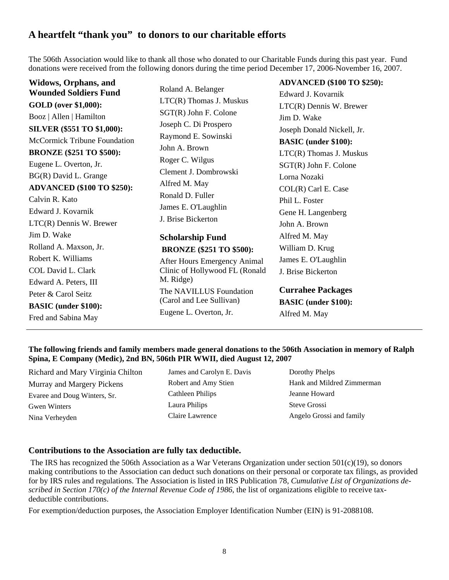### **A heartfelt "thank you" to donors to our charitable efforts**

The 506th Association would like to thank all those who donated to our Charitable Funds during this past year. Fund donations were received from the following donors during the time period December 17, 2006-November 16, 2007.

| Widows, Orphans, and                |                                     | <b>ADVANCED (\$100 TO \$250):</b> |
|-------------------------------------|-------------------------------------|-----------------------------------|
| <b>Wounded Soldiers Fund</b>        | Roland A. Belanger                  | Edward J. Kovarnik                |
| <b>GOLD</b> (over \$1,000):         | LTC(R) Thomas J. Muskus             | $LTC(R)$ Dennis W. Brewer         |
| Booz   Allen   Hamilton             | $SGT(R)$ John F. Colone             | Jim D. Wake                       |
| <b>SILVER (\$551 TO \$1,000):</b>   | Joseph C. Di Prospero               | Joseph Donald Nickell, Jr.        |
| <b>McCormick Tribune Foundation</b> | Raymond E. Sowinski                 | <b>BASIC</b> (under \$100):       |
| <b>BRONZE</b> (\$251 TO \$500):     | John A. Brown                       | LTC(R) Thomas J. Muskus           |
| Eugene L. Overton, Jr.              | Roger C. Wilgus                     | $SGT(R)$ John F. Colone           |
| BG(R) David L. Grange               | Clement J. Dombrowski               | Lorna Nozaki                      |
| <b>ADVANCED (\$100 TO \$250):</b>   | Alfred M. May                       | COL(R) Carl E. Case               |
| Calvin R. Kato                      | Ronald D. Fuller                    | Phil L. Foster                    |
| Edward J. Kovarnik                  | James E. O'Laughlin                 | Gene H. Langenberg                |
| $LTC(R)$ Dennis W. Brewer           | J. Brise Bickerton                  | John A. Brown                     |
| Jim D. Wake                         | <b>Scholarship Fund</b>             | Alfred M. May                     |
| Rolland A. Maxson, Jr.              | <b>BRONZE</b> (\$251 TO \$500):     | William D. Krug                   |
| Robert K. Williams                  | <b>After Hours Emergency Animal</b> | James E. O'Laughlin               |
| COL David L. Clark                  | Clinic of Hollywood FL (Ronald      | J. Brise Bickerton                |
| Edward A. Peters, III               | M. Ridge)                           |                                   |
| Peter & Carol Seitz                 | The NAVILLUS Foundation             | <b>Currahee Packages</b>          |
| <b>BASIC</b> (under \$100):         | (Carol and Lee Sullivan)            | <b>BASIC</b> (under \$100):       |
| Fred and Sabina May                 | Eugene L. Overton, Jr.              | Alfred M. May                     |
|                                     |                                     |                                   |

**The following friends and family members made general donations to the 506th Association in memory of Ralph Spina, E Company (Medic), 2nd BN, 506th PIR WWII, died August 12, 2007** 

Richard and Mary Virginia Chilton Murray and Margery Pickens Evaree and Doug Winters, Sr. Gwen Winters Nina Verheyden

James and Carolyn E. Davis Robert and Amy Stien Cathleen Philips Laura Philips Claire Lawrence

Dorothy Phelps Hank and Mildred Zimmerman Jeanne Howard Steve Grossi Angelo Grossi and family

#### **Contributions to the Association are fully tax deductible.**

The IRS has recognized the 506th Association as a War Veterans Organization under section 501(c)(19), so donors making contributions to the Association can deduct such donations on their personal or corporate tax filings, as provided for by IRS rules and regulations. The Association is listed in IRS Publication 78, *Cumulative List of Organizations described in Section 170(c) of the Internal Revenue Code of 1986*, the list of organizations eligible to receive taxdeductible contributions.

For exemption/deduction purposes, the Association Employer Identification Number (EIN) is 91-2088108.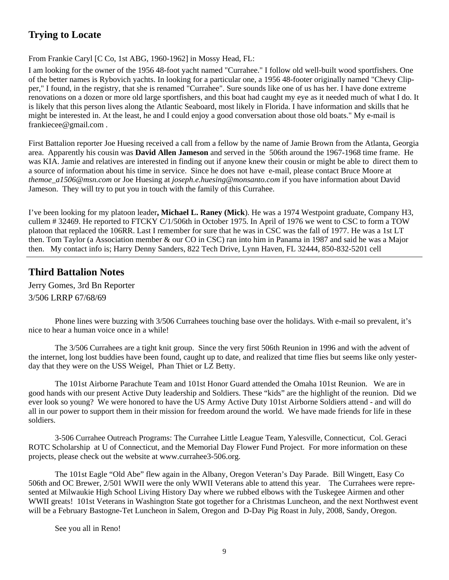### **Trying to Locate**

From Frankie Caryl [C Co, 1st ABG, 1960-1962] in Mossy Head, FL:

I am looking for the owner of the 1956 48-foot yacht named "Currahee." I follow old well-built wood sportfishers. One of the better names is Rybovich yachts. In looking for a particular one, a 1956 48-footer originally named "Chevy Clipper," I found, in the registry, that she is renamed "Currahee". Sure sounds like one of us has her. I have done extreme renovations on a dozen or more old large sportfishers, and this boat had caught my eye as it needed much of what I do. It is likely that this person lives along the Atlantic Seaboard, most likely in Florida. I have information and skills that he might be interested in. At the least, he and I could enjoy a good conversation about those old boats." My e-mail is frankiecee@gmail.com .

First Battalion reporter Joe Huesing received a call from a fellow by the name of Jamie Brown from the Atlanta, Georgia area. Apparently his cousin was **David Allen Jameson** and served in the 506th around the 1967-1968 time frame. He was KIA. Jamie and relatives are interested in finding out if anyone knew their cousin or might be able to direct them to a source of information about his time in service. Since he does not have e-mail, please contact Bruce Moore at *themoe\_a1506@msn.com* or Joe Huesing at *joseph.e.huesing@monsanto.com* if you have information about David Jameson. They will try to put you in touch with the family of this Currahee.

I've been looking for my platoon leader**, Michael L. Raney (Mick**). He was a 1974 Westpoint graduate, Company H3, cullem # 32469. He reported to FTCKY C/1/506th in October 1975. In April of 1976 we went to CSC to form a TOW platoon that replaced the 106RR. Last I remember for sure that he was in CSC was the fall of 1977. He was a 1st LT then. Tom Taylor (a Association member & our CO in CSC) ran into him in Panama in 1987 and said he was a Major then. My contact info is; Harry Denny Sanders, 822 Tech Drive, Lynn Haven, FL 32444, 850-832-5201 cell

### **Third Battalion Notes**

Jerry Gomes, 3rd Bn Reporter 3/506 LRRP 67/68/69

 Phone lines were buzzing with 3/506 Currahees touching base over the holidays. With e-mail so prevalent, it's nice to hear a human voice once in a while!

 The 3/506 Currahees are a tight knit group. Since the very first 506th Reunion in 1996 and with the advent of the internet, long lost buddies have been found, caught up to date, and realized that time flies but seems like only yesterday that they were on the USS Weigel, Phan Thiet or LZ Betty.

 The 101st Airborne Parachute Team and 101st Honor Guard attended the Omaha 101st Reunion. We are in good hands with our present Active Duty leadership and Soldiers. These "kids" are the highlight of the reunion. Did we ever look so young? We were honored to have the US Army Active Duty 101st Airborne Soldiers attend - and will do all in our power to support them in their mission for freedom around the world. We have made friends for life in these soldiers.

 3-506 Currahee Outreach Programs: The Currahee Little League Team, Yalesville, Connecticut, Col. Geraci ROTC Scholarship at U of Connecticut, and the Memorial Day Flower Fund Project. For more information on these projects, please check out the website at www.currahee3-506.org.

 The 101st Eagle "Old Abe" flew again in the Albany, Oregon Veteran's Day Parade. Bill Wingett, Easy Co 506th and OC Brewer, 2/501 WWII were the only WWII Veterans able to attend this year. The Currahees were represented at Milwaukie High School Living History Day where we rubbed elbows with the Tuskegee Airmen and other WWII greats! 101st Veterans in Washington State got together for a Christmas Luncheon, and the next Northwest event will be a February Bastogne-Tet Luncheon in Salem, Oregon and D-Day Pig Roast in July, 2008, Sandy, Oregon.

See you all in Reno!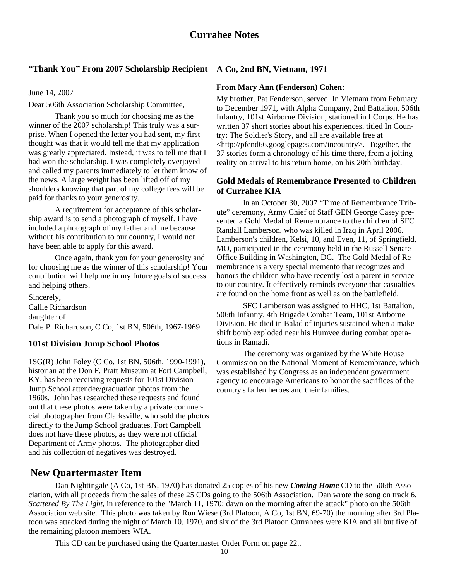#### **"Thank You" From 2007 Scholarship Recipient A Co, 2nd BN, Vietnam, 1971**

June 14, 2007

Dear 506th Association Scholarship Committee,

 Thank you so much for choosing me as the winner of the 2007 scholarship! This truly was a surprise. When I opened the letter you had sent, my first thought was that it would tell me that my application was greatly appreciated. Instead, it was to tell me that I had won the scholarship. I was completely overjoyed and called my parents immediately to let them know of the news. A large weight has been lifted off of my shoulders knowing that part of my college fees will be paid for thanks to your generosity.

 A requirement for acceptance of this scholarship award is to send a photograph of myself. I have included a photograph of my father and me because without his contribution to our country, I would not have been able to apply for this award.

 Once again, thank you for your generosity and for choosing me as the winner of this scholarship! Your contribution will help me in my future goals of success and helping others.

Sincerely, Callie Richardson daughter of Dale P. Richardson, C Co, 1st BN, 506th, 1967-1969

#### **101st Division Jump School Photos**

1SG(R) John Foley (C Co, 1st BN, 506th, 1990-1991), historian at the Don F. Pratt Museum at Fort Campbell, KY, has been receiving requests for 101st Division Jump School attendee/graduation photos from the 1960s. John has researched these requests and found out that these photos were taken by a private commercial photographer from Clarksville, who sold the photos directly to the Jump School graduates. Fort Campbell does not have these photos, as they were not official Department of Army photos. The photographer died and his collection of negatives was destroyed.

### **New Quartermaster Item**

#### **From Mary Ann (Fenderson) Cohen:**

My brother, Pat Fenderson, served In Vietnam from February to December 1971, with Alpha Company, 2nd Battalion, 506th Infantry, 101st Airborne Division, stationed in I Corps. He has written 37 short stories about his experiences, titled In Country: The Soldier's Story, and all are available free at <http://pfend66.googlepages.com/incountry>. Together, the 37 stories form a chronology of his time there, from a jolting reality on arrival to his return home, on his 20th birthday.

#### **Gold Medals of Remembrance Presented to Children of Currahee KIA**

 In an October 30, 2007 "Time of Remembrance Tribute" ceremony, Army Chief of Staff GEN George Casey presented a Gold Medal of Remembrance to the children of SFC Randall Lamberson, who was killed in Iraq in April 2006. Lamberson's children, Kelsi, 10, and Even, 11, of Springfield, MO, participated in the ceremony held in the Russell Senate Office Building in Washington, DC. The Gold Medal of Remembrance is a very special memento that recognizes and honors the children who have recently lost a parent in service to our country. It effectively reminds everyone that casualties are found on the home front as well as on the battlefield.

 SFC Lamberson was assigned to HHC, 1st Battalion, 506th Infantry, 4th Brigade Combat Team, 101st Airborne Division. He died in Balad of injuries sustained when a makeshift bomb exploded near his Humvee during combat operations in Ramadi.

 The ceremony was organized by the White House Commission on the National Moment of Remembrance, which was established by Congress as an independent government agency to encourage Americans to honor the sacrifices of the country's fallen heroes and their families.

 Dan Nightingale (A Co, 1st BN, 1970) has donated 25 copies of his new *Coming Home* CD to the 506th Association, with all proceeds from the sales of these 25 CDs going to the 506th Association. Dan wrote the song on track 6, *Scattered By The Light,* in reference to the "March 11, 1970: dawn on the morning after the attack" photo on the 506th Association web site. This photo was taken by Ron Wiese (3rd Platoon, A Co, 1st BN, 69-70) the morning after 3rd Platoon was attacked during the night of March 10, 1970, and six of the 3rd Platoon Currahees were KIA and all but five of the remaining platoon members WIA.

This CD can be purchased using the Quartermaster Order Form on page 22..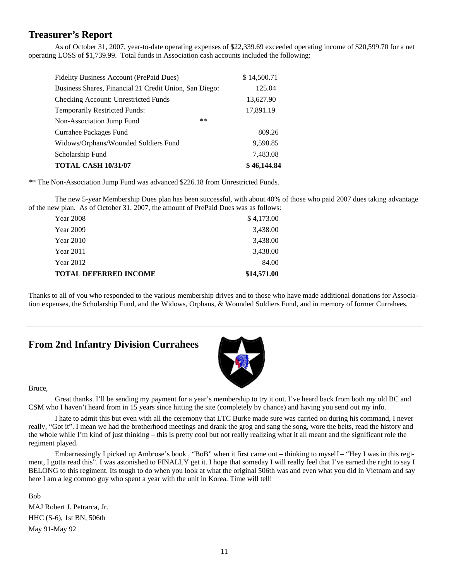#### **Treasurer's Report**

 As of October 31, 2007, year-to-date operating expenses of \$22,339.69 exceeded operating income of \$20,599.70 for a net operating LOSS of \$1,739.99. Total funds in Association cash accounts included the following:

| Fidelity Business Account (PrePaid Dues)               | \$14,500.71 |
|--------------------------------------------------------|-------------|
| Business Shares, Financial 21 Credit Union, San Diego: | 125.04      |
| Checking Account: Unrestricted Funds                   | 13,627.90   |
| <b>Temporarily Restricted Funds:</b>                   | 17,891.19   |
| $***$<br>Non-Association Jump Fund                     |             |
| Currahee Packages Fund                                 | 809.26      |
| Widows/Orphans/Wounded Soldiers Fund                   | 9,598.85    |
| Scholarship Fund                                       | 7,483.08    |
| <b>TOTAL CASH 10/31/07</b>                             | \$46,144.84 |

\*\* The Non-Association Jump Fund was advanced \$226.18 from Unrestricted Funds.

 The new 5-year Membership Dues plan has been successful, with about 40% of those who paid 2007 dues taking advantage of the new plan. As of October 31, 2007, the amount of PrePaid Dues was as follows:

| <b>TOTAL DEFERRED INCOME</b> | \$14,571.00 |
|------------------------------|-------------|
| Year 2012                    | 84.00       |
| <b>Year 2011</b>             | 3,438.00    |
| <b>Year 2010</b>             | 3,438.00    |
| Year 2009                    | 3,438.00    |
| Year 2008                    | \$4,173.00  |

Thanks to all of you who responded to the various membership drives and to those who have made additional donations for Association expenses, the Scholarship Fund, and the Widows, Orphans, & Wounded Soldiers Fund, and in memory of former Currahees.

#### **From 2nd Infantry Division Currahees**



Bruce,

 Great thanks. I'll be sending my payment for a year's membership to try it out. I've heard back from both my old BC and CSM who I haven't heard from in 15 years since hitting the site (completely by chance) and having you send out my info.

 I hate to admit this but even with all the ceremony that LTC Burke made sure was carried on during his command, I never really, "Got it". I mean we had the brotherhood meetings and drank the grog and sang the song, wore the belts, read the history and the whole while I'm kind of just thinking – this is pretty cool but not really realizing what it all meant and the significant role the regiment played.

 Embarrassingly I picked up Ambrose's book , "BoB" when it first came out – thinking to myself – "Hey I was in this regiment, I gotta read this". I was astonished to FINALLY get it. I hope that someday I will really feel that I've earned the right to say I BELONG to this regiment. Its tough to do when you look at what the original 506th was and even what you did in Vietnam and say here I am a leg commo guy who spent a year with the unit in Korea. Time will tell!

Bob MAJ Robert J. Petrarca, Jr. HHC (S-6), 1st BN, 506th May 91-May 92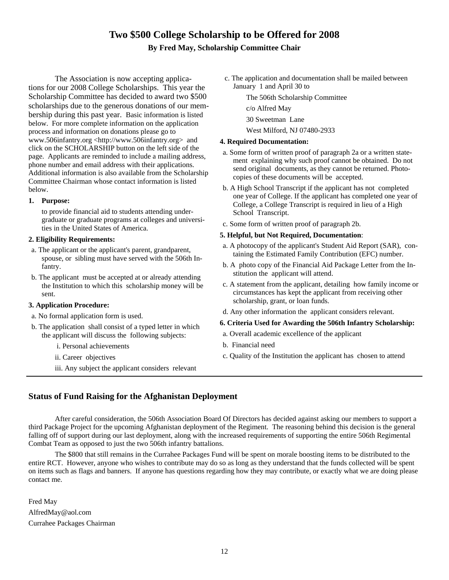### **Two \$500 College Scholarship to be Offered for 2008**

#### **By Fred May, Scholarship Committee Chair**

The Association is now accepting applications for our 2008 College Scholarships. This year the Scholarship Committee has decided to award two \$500 scholarships due to the generous donations of our membership during this past year. Basic information is listed below. For more complete information on the application process and information on donations please go to www.506infantry.org <http://www.506infantry.org> and click on the SCHOLARSHIP button on the left side of the page. Applicants are reminded to include a mailing address, phone number and email address with their applications. Additional information is also available from the Scholarship Committee Chairman whose contact information is listed below.

#### **1. Purpose:**

to provide financial aid to students attending undergraduate or graduate programs at colleges and universities in the United States of America.

#### **2. Eligibility Requirements:**

- a. The applicant or the applicant's parent, grandparent, spouse, or sibling must have served with the 506th Infantry.
- b. The applicant must be accepted at or already attending the Institution to which this scholarship money will be sent.

#### **3. Application Procedure:**

- a. No formal application form is used.
- b. The application shall consist of a typed letter in which the applicant will discuss the following subjects:
	- i. Personal achievements
	- ii. Career objectives
	- iii. Any subject the applicant considers relevant
- c. The application and documentation shall be mailed between January 1 and April 30 to
	- The 506th Scholarship Committee
	- c/o Alfred May
	- 30 Sweetman Lane
		- West Milford, NJ 07480-2933

#### **4. Required Documentation:**

- a. Some form of written proof of paragraph 2a or a written statement explaining why such proof cannot be obtained. Do not send original documents, as they cannot be returned. Photocopies of these documents will be accepted.
- b. A High School Transcript if the applicant has not completed one year of College. If the applicant has completed one year of College, a College Transcript is required in lieu of a High School Transcript.
- c. Some form of written proof of paragraph 2b.

#### **5. Helpful, but Not Required, Documentation**:

- a. A photocopy of the applicant's Student Aid Report (SAR), containing the Estimated Family Contribution (EFC) number.
- b. A photo copy of the Financial Aid Package Letter from the Institution the applicant will attend.
- c. A statement from the applicant, detailing how family income or circumstances has kept the applicant from receiving other scholarship, grant, or loan funds.
- d. Any other information the applicant considers relevant.

#### **6. Criteria Used for Awarding the 506th Infantry Scholarship:**

- a. Overall academic excellence of the applicant
- b. Financial need
- c. Quality of the Institution the applicant has chosen to attend

#### **Status of Fund Raising for the Afghanistan Deployment**

 After careful consideration, the 506th Association Board Of Directors has decided against asking our members to support a third Package Project for the upcoming Afghanistan deployment of the Regiment. The reasoning behind this decision is the general falling off of support during our last deployment, along with the increased requirements of supporting the entire 506th Regimental Combat Team as opposed to just the two 506th infantry battalions.

 The \$800 that still remains in the Currahee Packages Fund will be spent on morale boosting items to be distributed to the entire RCT. However, anyone who wishes to contribute may do so as long as they understand that the funds collected will be spent on items such as flags and banners. If anyone has questions regarding how they may contribute, or exactly what we are doing please contact me.

Fred May AlfredMay@aol.com Currahee Packages Chairman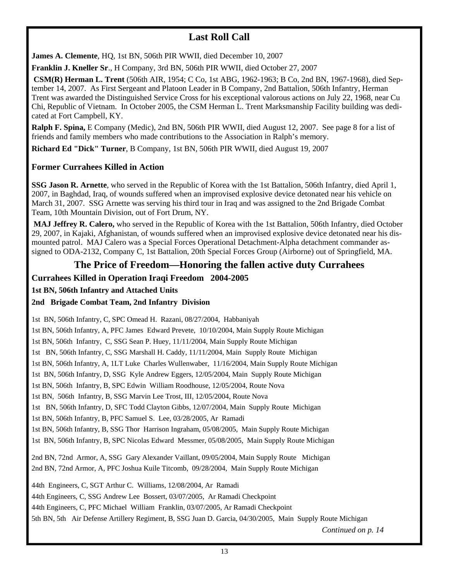### **Last Roll Call**

**James A. Clemente**, HQ, 1st BN, 506th PIR WWII, died December 10, 2007

**Franklin J. Kneller Sr**., H Company, 3rd BN, 506th PIR WWII, died October 27, 2007

**CSM(R) Herman L. Trent** (506th AIR, 1954; C Co, 1st ABG, 1962-1963; B Co, 2nd BN, 1967-1968), died September 14, 2007. As First Sergeant and Platoon Leader in B Company, 2nd Battalion, 506th Infantry, Herman Trent was awarded the Distinguished Service Cross for his exceptional valorous actions on July 22, 1968, near Cu Chi, Republic of Vietnam. In October 2005, the CSM Herman L. Trent Marksmanship Facility building was dedicated at Fort Campbell, KY.

**Ralph F. Spina,** E Company (Medic), 2nd BN, 506th PIR WWII, died August 12, 2007. See page 8 for a list of friends and family members who made contributions to the Association in Ralph's memory.

**Richard Ed "Dick" Turner**, B Company, 1st BN, 506th PIR WWII, died August 19, 2007

#### **Former Currahees Killed in Action**

**SSG Jason R. Arnette**, who served in the Republic of Korea with the 1st Battalion, 506th Infantry, died April 1, 2007, in Baghdad, Iraq, of wounds suffered when an improvised explosive device detonated near his vehicle on March 31, 2007. SSG Arnette was serving his third tour in Iraq and was assigned to the 2nd Brigade Combat Team, 10th Mountain Division, out of Fort Drum, NY.

**MAJ Jeffrey R. Calero,** who served in the Republic of Korea with the 1st Battalion, 506th Infantry, died October 29, 2007, in Kajaki, Afghanistan, of wounds suffered when an improvised explosive device detonated near his dismounted patrol. MAJ Calero was a Special Forces Operational Detachment-Alpha detachment commander assigned to ODA-2132, Company C, 1st Battalion, 20th Special Forces Group (Airborne) out of Springfield, MA.

### **The Price of Freedom—Honoring the fallen active duty Currahees**

#### **Currahees Killed in Operation Iraqi Freedom 2004-2005**

**1st BN, 506th Infantry and Attached Units** 

#### **2nd Brigade Combat Team, 2nd Infantry Division**

1st BN, 506th Infantry, C, SPC Omead H. Razani, 08/27/2004, Habbaniyah 1st BN, 506th Infantry, A, PFC James Edward Prevete, 10/10/2004, Main Supply Route Michigan 1st BN, 506th Infantry, C, SSG Sean P. Huey, 11/11/2004, Main Supply Route Michigan 1st BN, 506th Infantry, C, SSG Marshall H. Caddy, 11/11/2004, Main Supply Route Michigan 1st BN, 506th Infantry, A, 1LT Luke Charles Wullenwaber, 11/16/2004, Main Supply Route Michigan 1st BN, 506th Infantry, D, SSG Kyle Andrew Eggers, 12/05/2004, Main Supply Route Michigan 1st BN, 506th Infantry, B, SPC Edwin William Roodhouse, 12/05/2004, Route Nova 1st BN, 506th Infantry, B, SSG Marvin Lee Trost, III, 12/05/2004, Route Nova 1st BN, 506th Infantry, D, SFC Todd Clayton Gibbs, 12/07/2004, Main Supply Route Michigan 1st BN, 506th Infantry, B, PFC Samuel S. Lee, 03/28/2005, Ar Ramadi 1st BN, 506th Infantry, B, SSG Thor Harrison Ingraham, 05/08/2005, Main Supply Route Michigan 1st BN, 506th Infantry, B, SPC Nicolas Edward Messmer, 05/08/2005, Main Supply Route Michigan 2nd BN, 72nd Armor, A, SSG Gary Alexander Vaillant, 09/05/2004, Main Supply Route Michigan 2nd BN, 72nd Armor, A, PFC Joshua Kuile Titcomb, 09/28/2004, Main Supply Route Michigan 44th Engineers, C, SGT Arthur C. Williams, 12/08/2004, Ar Ramadi 44th Engineers, C, SSG Andrew Lee Bossert, 03/07/2005, Ar Ramadi Checkpoint 44th Engineers, C, PFC Michael William Franklin, 03/07/2005, Ar Ramadi Checkpoint 5th BN, 5th Air Defense Artillery Regiment, B, SSG Juan D. Garcia, 04/30/2005, Main Supply Route Michigan

*Continued on p. 14*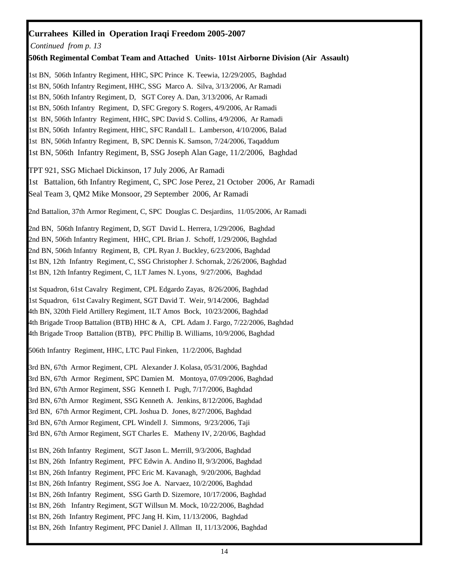#### **Currahees Killed in Operation Iraqi Freedom 2005-2007**

*Continued from p. 13*

#### **506th Regimental Combat Team and Attached Units- 101st Airborne Division (Air Assault)**

1st BN, 506th Infantry Regiment, HHC, SPC Prince K. Teewia, 12/29/2005, Baghdad 1st BN, 506th Infantry Regiment, HHC, SSG Marco A. Silva, 3/13/2006, Ar Ramadi 1st BN, 506th Infantry Regiment, D, SGT Corey A. Dan, 3/13/2006, Ar Ramadi 1st BN, 506th Infantry Regiment, D, SFC Gregory S. Rogers, 4/9/2006, Ar Ramadi 1st BN, 506th Infantry Regiment, HHC, SPC David S. Collins, 4/9/2006, Ar Ramadi 1st BN, 506th Infantry Regiment, HHC, SFC Randall L. Lamberson, 4/10/2006, Balad 1st BN, 506th Infantry Regiment, B, SPC Dennis K. Samson, 7/24/2006, Taqaddum 1st BN, 506th Infantry Regiment, B, SSG Joseph Alan Gage, 11/2/2006, Baghdad

TPT 921, SSG Michael Dickinson, 17 July 2006, Ar Ramadi 1st Battalion, 6th Infantry Regiment, C, SPC Jose Perez, 21 October 2006, Ar Ramadi Seal Team 3, QM2 Mike Monsoor, 29 September 2006, Ar Ramadi

2nd Battalion, 37th Armor Regiment, C, SPC Douglas C. Desjardins, 11/05/2006, Ar Ramadi

2nd BN, 506th Infantry Regiment, D, SGT David L. Herrera, 1/29/2006, Baghdad 2nd BN, 506th Infantry Regiment, HHC, CPL Brian J. Schoff, 1/29/2006, Baghdad 2nd BN, 506th Infantry Regiment, B, CPL Ryan J. Buckley, 6/23/2006, Baghdad 1st BN, 12th Infantry Regiment, C, SSG Christopher J. Schornak, 2/26/2006, Baghdad 1st BN, 12th Infantry Regiment, C, 1LT James N. Lyons, 9/27/2006, Baghdad

1st Squadron, 61st Cavalry Regiment, CPL Edgardo Zayas, 8/26/2006, Baghdad 1st Squadron, 61st Cavalry Regiment, SGT David T. Weir, 9/14/2006, Baghdad 4th BN, 320th Field Artillery Regiment, 1LT Amos Bock, 10/23/2006, Baghdad 4th Brigade Troop Battalion (BTB) HHC & A, CPL Adam J. Fargo, 7/22/2006, Baghdad 4th Brigade Troop Battalion (BTB), PFC Phillip B. Williams, 10/9/2006, Baghdad

506th Infantry Regiment, HHC, LTC Paul Finken, 11/2/2006, Baghdad

3rd BN, 67th Armor Regiment, CPL Alexander J. Kolasa, 05/31/2006, Baghdad 3rd BN, 67th Armor Regiment, SPC Damien M. Montoya, 07/09/2006, Baghdad 3rd BN, 67th Armor Regiment, SSG Kenneth I. Pugh, 7/17/2006, Baghdad 3rd BN, 67th Armor Regiment, SSG Kenneth A. Jenkins, 8/12/2006, Baghdad 3rd BN, 67th Armor Regiment, CPL Joshua D. Jones, 8/27/2006, Baghdad 3rd BN, 67th Armor Regiment, CPL Windell J. Simmons, 9/23/2006, Taji 3rd BN, 67th Armor Regiment, SGT Charles E. Matheny IV, 2/20/06, Baghdad

1st BN, 26th Infantry Regiment, SGT Jason L. Merrill, 9/3/2006, Baghdad 1st BN, 26th Infantry Regiment, PFC Edwin A. Andino II, 9/3/2006, Baghdad 1st BN, 26th Infantry Regiment, PFC Eric M. Kavanagh, 9/20/2006, Baghdad 1st BN, 26th Infantry Regiment, SSG Joe A. Narvaez, 10/2/2006, Baghdad 1st BN, 26th Infantry Regiment, SSG Garth D. Sizemore, 10/17/2006, Baghdad 1st BN, 26th Infantry Regiment, SGT Willsun M. Mock, 10/22/2006, Baghdad 1st BN, 26th Infantry Regiment, PFC Jang H. Kim, 11/13/2006, Baghdad 1st BN, 26th Infantry Regiment, PFC Daniel J. Allman II, 11/13/2006, Baghdad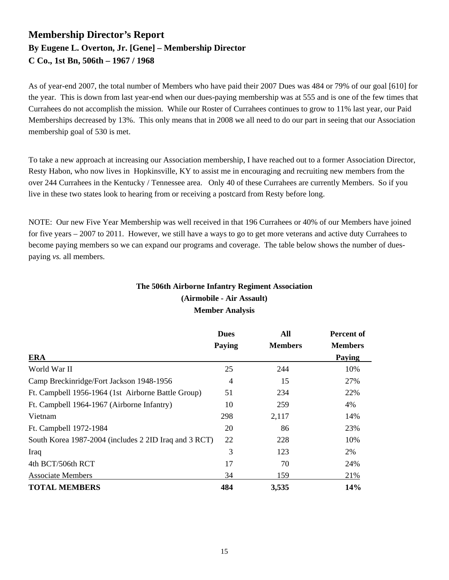### **Membership Director's Report By Eugene L. Overton, Jr. [Gene] – Membership Director C Co., 1st Bn, 506th – 1967 / 1968**

As of year-end 2007, the total number of Members who have paid their 2007 Dues was 484 or 79% of our goal [610] for the year. This is down from last year-end when our dues-paying membership was at 555 and is one of the few times that Currahees do not accomplish the mission. While our Roster of Currahees continues to grow to 11% last year, our Paid Memberships decreased by 13%. This only means that in 2008 we all need to do our part in seeing that our Association membership goal of 530 is met.

To take a new approach at increasing our Association membership, I have reached out to a former Association Director, Resty Habon, who now lives in Hopkinsville, KY to assist me in encouraging and recruiting new members from the over 244 Currahees in the Kentucky / Tennessee area. Only 40 of these Currahees are currently Members. So if you live in these two states look to hearing from or receiving a postcard from Resty before long.

NOTE: Our new Five Year Membership was well received in that 196 Currahees or 40% of our Members have joined for five years – 2007 to 2011. However, we still have a ways to go to get more veterans and active duty Currahees to become paying members so we can expand our programs and coverage. The table below shows the number of duespaying *vs.* all members.

#### **The 506th Airborne Infantry Regiment Association (Airmobile - Air Assault) Member Analysis**

|                                                       | <b>Dues</b>    | All            | <b>Percent of</b> |  |
|-------------------------------------------------------|----------------|----------------|-------------------|--|
|                                                       | Paying         | <b>Members</b> | <b>Members</b>    |  |
| <b>ERA</b>                                            |                |                | Paying            |  |
| World War II                                          | 25             | 244            | 10%               |  |
| Camp Breckinridge/Fort Jackson 1948-1956              | $\overline{4}$ | 15             | 27%               |  |
| Ft. Campbell 1956-1964 (1st Airborne Battle Group)    | 51             | 234            | 22%               |  |
| Ft. Campbell 1964-1967 (Airborne Infantry)            | 10             | 259            | 4%                |  |
| Vietnam                                               | 298            | 2,117          | 14%               |  |
| Ft. Campbell 1972-1984                                | 20             | 86             | 23%               |  |
| South Korea 1987-2004 (includes 2 2ID Iraq and 3 RCT) | 22             | 228            | 10%               |  |
| Iraq                                                  | 3              | 123            | 2%                |  |
| 4th BCT/506th RCT                                     | 17             | 70             | 24%               |  |
| <b>Associate Members</b>                              | 34             | 159            | 21%               |  |
| <b>TOTAL MEMBERS</b>                                  | 484            | 3,535          | 14%               |  |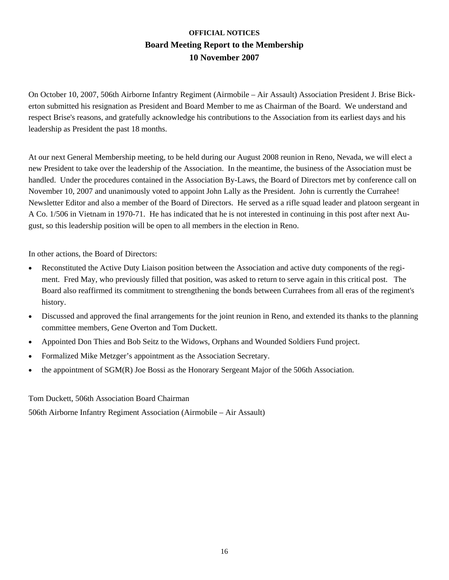### **OFFICIAL NOTICES Board Meeting Report to the Membership 10 November 2007**

On October 10, 2007, 506th Airborne Infantry Regiment (Airmobile – Air Assault) Association President J. Brise Bickerton submitted his resignation as President and Board Member to me as Chairman of the Board. We understand and respect Brise's reasons, and gratefully acknowledge his contributions to the Association from its earliest days and his leadership as President the past 18 months.

At our next General Membership meeting, to be held during our August 2008 reunion in Reno, Nevada, we will elect a new President to take over the leadership of the Association. In the meantime, the business of the Association must be handled. Under the procedures contained in the Association By-Laws, the Board of Directors met by conference call on November 10, 2007 and unanimously voted to appoint John Lally as the President. John is currently the Currahee! Newsletter Editor and also a member of the Board of Directors. He served as a rifle squad leader and platoon sergeant in A Co. 1/506 in Vietnam in 1970-71. He has indicated that he is not interested in continuing in this post after next August, so this leadership position will be open to all members in the election in Reno.

In other actions, the Board of Directors:

- Reconstituted the Active Duty Liaison position between the Association and active duty components of the regiment. Fred May, who previously filled that position, was asked to return to serve again in this critical post. The Board also reaffirmed its commitment to strengthening the bonds between Currahees from all eras of the regiment's history.
- Discussed and approved the final arrangements for the joint reunion in Reno, and extended its thanks to the planning committee members, Gene Overton and Tom Duckett.
- Appointed Don Thies and Bob Seitz to the Widows, Orphans and Wounded Soldiers Fund project.
- Formalized Mike Metzger's appointment as the Association Secretary.
- the appointment of SGM(R) Joe Bossi as the Honorary Sergeant Major of the 506th Association.

Tom Duckett, 506th Association Board Chairman

506th Airborne Infantry Regiment Association (Airmobile – Air Assault)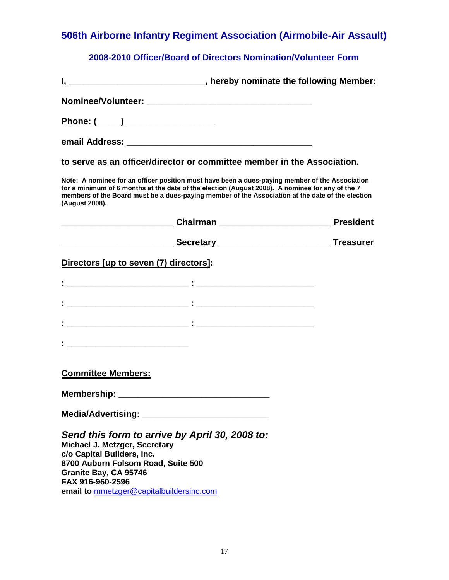### **2008-2010 Officer/Board of Directors Nomination/Volunteer Form**

| I, __________________________________, hereby nominate the following Member:                                                                                                                                                                                                                                            |  |
|-------------------------------------------------------------------------------------------------------------------------------------------------------------------------------------------------------------------------------------------------------------------------------------------------------------------------|--|
|                                                                                                                                                                                                                                                                                                                         |  |
| Phone: ( ____ ) ________________                                                                                                                                                                                                                                                                                        |  |
|                                                                                                                                                                                                                                                                                                                         |  |
| to serve as an officer/director or committee member in the Association.                                                                                                                                                                                                                                                 |  |
| Note: A nominee for an officer position must have been a dues-paying member of the Association<br>for a minimum of 6 months at the date of the election (August 2008). A nominee for any of the 7<br>members of the Board must be a dues-paying member of the Association at the date of the election<br>(August 2008). |  |
|                                                                                                                                                                                                                                                                                                                         |  |
| ______________________________Secretary ___________________________________Treasurer                                                                                                                                                                                                                                    |  |
| Directors [up to seven (7) directors]:                                                                                                                                                                                                                                                                                  |  |
| <u> 1989 - Andrea Stadt Britain, amerikansk politiker (d. 1989)</u>                                                                                                                                                                                                                                                     |  |
|                                                                                                                                                                                                                                                                                                                         |  |
|                                                                                                                                                                                                                                                                                                                         |  |
|                                                                                                                                                                                                                                                                                                                         |  |
| <b>Committee Members:</b>                                                                                                                                                                                                                                                                                               |  |
| Membership: ________________________                                                                                                                                                                                                                                                                                    |  |
| <b>Media/Advertising:</b>                                                                                                                                                                                                                                                                                               |  |
| Send this form to arrive by April 30, 2008 to:<br>Michael J. Metzger, Secretary<br>c/o Capital Builders, Inc.<br>8700 Auburn Folsom Road, Suite 500<br>Granite Bay, CA 95746<br>FAX 916-960-2596<br>email to mmetzger@capitalbuildersinc.com                                                                            |  |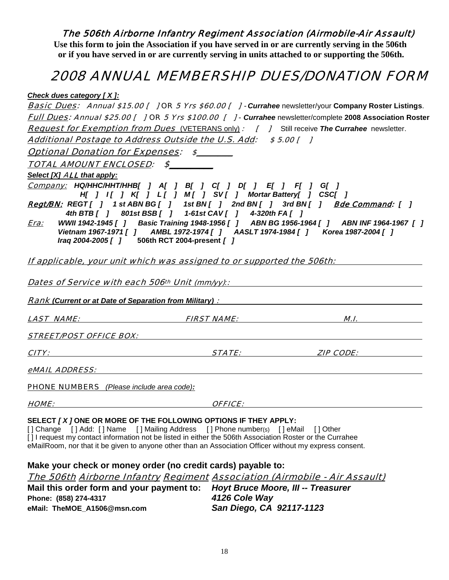**Use this form to join the Association if you have served in or are currently serving in the 506th or if you have served in or are currently serving in units attached to or supporting the 506th.** 

### 2008 ANNUAL MEMBERSHIP DUES/DONATION FORM

*Check dues category [ X ]:*

|                                                                                                                                                                                                                                                                                                                                                                             |                                                         | <b>Basic Dues:</b> Annual \$15.00 [ ] OR 5 Yrs \$60.00 [ ] - Currahee newsletter/your Company Roster Listings.                                                                 |
|-----------------------------------------------------------------------------------------------------------------------------------------------------------------------------------------------------------------------------------------------------------------------------------------------------------------------------------------------------------------------------|---------------------------------------------------------|--------------------------------------------------------------------------------------------------------------------------------------------------------------------------------|
|                                                                                                                                                                                                                                                                                                                                                                             |                                                         | Full Dues: Annual \$25.00 [ ] OR 5 Yrs \$100.00 [ ] - Currahee newsletter/complete 2008 Association Roster                                                                     |
| <b>Request for Exemption from Dues</b> (VETERANS only): [ ] Still receive The Currahee newsletter.                                                                                                                                                                                                                                                                          |                                                         |                                                                                                                                                                                |
| Additional Postage to Address Outside the U.S. Add: \$5.00 []                                                                                                                                                                                                                                                                                                               |                                                         |                                                                                                                                                                                |
| <b>Optional Donation for Expenses: \$</b>                                                                                                                                                                                                                                                                                                                                   |                                                         |                                                                                                                                                                                |
| TOTAL AMOUNT ENCLOSED: \$                                                                                                                                                                                                                                                                                                                                                   |                                                         |                                                                                                                                                                                |
| Select [X] ALL that apply:                                                                                                                                                                                                                                                                                                                                                  |                                                         |                                                                                                                                                                                |
| <u>Сотрапу:</u> НQ/ННС/ННТ/ННВ[ ] A[ ] B[ ] C[ ] D[ ] E[ ] F[ ] G[ ]                                                                                                                                                                                                                                                                                                        | H[ ] I[ ] K[ ] L[ ] M[ ] SV[ ] Mortar Battery[ ] CSC[ ] |                                                                                                                                                                                |
| Regt/BN: REGT[ ] 1 st ABN BG[ ] 1 st BN[ ] 2nd BN[ ] 3rd BN[ ] Bde Command: [ ]                                                                                                                                                                                                                                                                                             | 4th BTB [ ] 801st BSB [ ] 1-61st CAV [ ] 4-320th FA [ ] |                                                                                                                                                                                |
| <u>Era:</u><br>Iraq 2004-2005 [ ] 506th RCT 2004-present [ ]                                                                                                                                                                                                                                                                                                                |                                                         | WWII 1942-1945 [ ] Basic Training 1948-1956 [ ] ABN BG 1956-1964 [ ] ABN INF 1964-1967 [ ]<br>Vietnam 1967-1971 [ ] AMBL 1972-1974 [ ] AASLT 1974-1984 [ ] Korea 1987-2004 [ ] |
| If applicable, your unit which was assigned to or supported the 506th:                                                                                                                                                                                                                                                                                                      |                                                         |                                                                                                                                                                                |
| <u>Dates of Service with each 506th Unit (mm/yy):</u><br><b>Rank (Current or at Date of Separation from Military) :</b> Name of American Control of American Control of American                                                                                                                                                                                            |                                                         |                                                                                                                                                                                |
|                                                                                                                                                                                                                                                                                                                                                                             |                                                         | <u>LAST NAME: FIRST NAME: M.I.</u>                                                                                                                                             |
|                                                                                                                                                                                                                                                                                                                                                                             |                                                         |                                                                                                                                                                                |
|                                                                                                                                                                                                                                                                                                                                                                             |                                                         | <u>CITY:</u> STATE: STATE: ZIP CODE:                                                                                                                                           |
| eMAIL ADDRESS: Annual March 2014 - Capital March 2014 - Capital March 2014 - Capital March 2014 - Capital March 2014                                                                                                                                                                                                                                                        |                                                         |                                                                                                                                                                                |
| <b>PHONE NUMBERS</b> (Please include area code):                                                                                                                                                                                                                                                                                                                            |                                                         |                                                                                                                                                                                |
|                                                                                                                                                                                                                                                                                                                                                                             |                                                         |                                                                                                                                                                                |
| SELECT [X ] ONE OR MORE OF THE FOLLOWING OPTIONS IF THEY APPLY:<br>[] Change [] Add: [] Name [] Mailing Address [] Phone number(s) [] eMail [] Other<br>[] I request my contact information not be listed in either the 506th Association Roster or the Currahee<br>eMailRoom, nor that it be given to anyone other than an Association Officer without my express consent. |                                                         |                                                                                                                                                                                |
| Make your check or money order (no credit cards) payable to:                                                                                                                                                                                                                                                                                                                |                                                         |                                                                                                                                                                                |
| <u> The 506th Airborne Infantry Regiment Association (Airmobile - Air Assault)</u>                                                                                                                                                                                                                                                                                          |                                                         |                                                                                                                                                                                |
| Mail this order form and your payment to:                                                                                                                                                                                                                                                                                                                                   |                                                         | <b>Hoyt Bruce Moore, III -- Treasurer</b>                                                                                                                                      |

**Phone: (858) 274-4317** *4126 Cole Way*  **eMail: TheMOE\_A1506@msn.com** *San Diego, CA 92117-1123*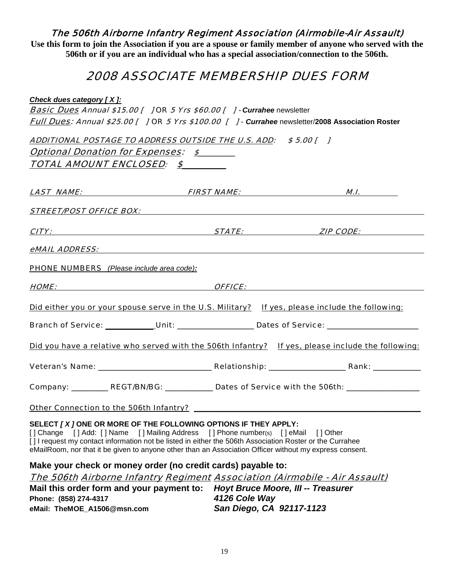**Use this form to join the Association if you are a spouse or family member of anyone who served with the 506th or if you are an individual who has a special association/connection to the 506th.** 

### 2008 ASSOCIATE MEMBERSHIP DUES FORM

*Check dues category [ X ]:* **Basic Dues Annual \$15.00 [ ] OR 5 Yrs \$60.00 [ ] - Currahee newsletter** Full Dues: Annual \$25.00 [ ] OR 5 Yrs \$100.00 [ ] - *Currahee* newsletter/**2008 Association Roster**

|                                                  | ADDITIONAL POSTAGE TO ADDRESS OUTSIDE THE U.S. ADD: \$5.00 [ ]                                                                                                                                                                                                                                                                                                            |                                                                                                   |
|--------------------------------------------------|---------------------------------------------------------------------------------------------------------------------------------------------------------------------------------------------------------------------------------------------------------------------------------------------------------------------------------------------------------------------------|---------------------------------------------------------------------------------------------------|
| <b>Optional Donation for Expenses: \$</b>        |                                                                                                                                                                                                                                                                                                                                                                           |                                                                                                   |
| TOTAL AMOUNT ENCLOSED: \$                        |                                                                                                                                                                                                                                                                                                                                                                           |                                                                                                   |
|                                                  |                                                                                                                                                                                                                                                                                                                                                                           |                                                                                                   |
|                                                  |                                                                                                                                                                                                                                                                                                                                                                           |                                                                                                   |
|                                                  | <b>STREET/POST OFFICE BOX:</b> Notice that the state of the state of the state of the state of the state of the state of the state of the state of the state of the state of the state of the state of the state of the state of th                                                                                                                                       |                                                                                                   |
|                                                  |                                                                                                                                                                                                                                                                                                                                                                           | <b>CITY:</b> STATE: <b>STATE: EXAMPLE EXAMPLE EXAMPLE EXAMPLE EXAMPLE EXAMPLE EXAMPLE EXAMPLE</b> |
|                                                  |                                                                                                                                                                                                                                                                                                                                                                           |                                                                                                   |
| <b>PHONE NUMBERS</b> (Please include area code): |                                                                                                                                                                                                                                                                                                                                                                           |                                                                                                   |
|                                                  |                                                                                                                                                                                                                                                                                                                                                                           |                                                                                                   |
|                                                  |                                                                                                                                                                                                                                                                                                                                                                           | Did either you or your spouse serve in the U.S. Military? If yes, please include the following:   |
|                                                  |                                                                                                                                                                                                                                                                                                                                                                           | Branch of Service: Unit: Unit: Unit: Dates of Service: _________________________                  |
|                                                  |                                                                                                                                                                                                                                                                                                                                                                           | Did you have a relative who served with the 506th Infantry? If yes, please include the following: |
|                                                  |                                                                                                                                                                                                                                                                                                                                                                           |                                                                                                   |
|                                                  |                                                                                                                                                                                                                                                                                                                                                                           | Company: __________ REGT/BN/BG: ___________ Dates of Service with the 506th: ________________     |
|                                                  |                                                                                                                                                                                                                                                                                                                                                                           |                                                                                                   |
|                                                  | SELECT [X] ONE OR MORE OF THE FOLLOWING OPTIONS IF THEY APPLY:<br>[] Change [] Add: [] Name [] Mailing Address [] Phone number(s) [] eMail [] Other<br>[1] request my contact information not be listed in either the 506th Association Roster or the Currahee<br>eMailRoom, nor that it be given to anyone other than an Association Officer without my express consent. |                                                                                                   |
|                                                  | Make your check or money order (no credit cards) payable to:                                                                                                                                                                                                                                                                                                              | The 506th Airborne Infantry Regiment Association (Airmobile - Air Assault)                        |
|                                                  | Meil this suder form and user normont to . Hout Drugs Moore, Ill. Treasurer                                                                                                                                                                                                                                                                                               |                                                                                                   |

**Mail this order form and your payment to:** *Hoyt Bruce Moore, III -- Treasurer*  **Phone: (858) 274-4317** *4126 Cole Way*  **eMail: TheMOE\_A1506@msn.com** *San Diego, CA 92117-1123*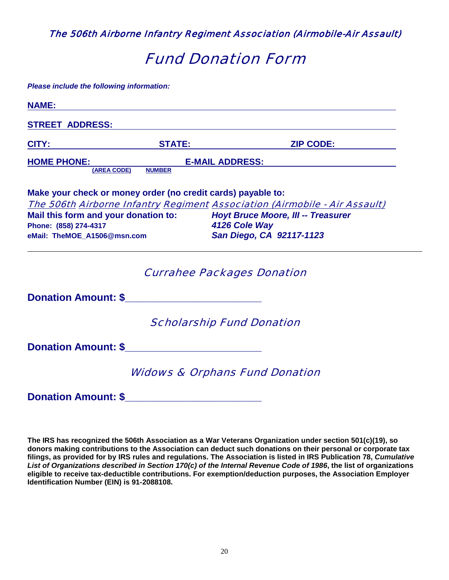## Fund Donation Form

*Please include the following information:* 

| <b>NAME:</b>                                                 |               |                                                                            |
|--------------------------------------------------------------|---------------|----------------------------------------------------------------------------|
| <b>STREET ADDRESS:</b>                                       |               |                                                                            |
| <b>CITY:</b>                                                 | <b>STATE:</b> | <b>ZIP CODE:</b>                                                           |
| <b>HOME PHONE:</b>                                           |               | <b>E-MAIL ADDRESS:</b>                                                     |
| (AREA CODE)                                                  | <b>NUMBER</b> |                                                                            |
| Make your check or money order (no credit cards) payable to: |               |                                                                            |
|                                                              |               | The 506th Airborne Infantry Regiment Association (Airmobile - Air Assault) |
| Mail this form and your donation to:                         |               | <b>Hoyt Bruce Moore, III -- Treasurer</b>                                  |
| Phone: (858) 274-4317                                        |               | 4126 Cole Way                                                              |
| eMail: TheMOE_A1506@msn.com                                  |               | San Diego, CA 92117-1123                                                   |
|                                                              |               | <b>Currahee Packages Donation</b>                                          |
| Donation Amount: \$                                          |               |                                                                            |
|                                                              |               | <b>Scholarship Fund Donation</b>                                           |
| <b>Donation Amount: \$ Example 2014</b>                      |               |                                                                            |
|                                                              |               | <b>Widows &amp; Orphans Fund Donation</b>                                  |
| <b>Donation Amount: \$</b>                                   |               |                                                                            |

**The IRS has recognized the 506th Association as a War Veterans Organization under section 501(c)(19), so donors making contributions to the Association can deduct such donations on their personal or corporate tax filings, as provided for by IRS rules and regulations. The Association is listed in IRS Publication 78,** *Cumulative List of Organizations described in Section 170(c) of the Internal Revenue Code of 1986***, the list of organizations eligible to receive tax-deductible contributions. For exemption/deduction purposes, the Association Employer Identification Number (EIN) is 91-2088108.**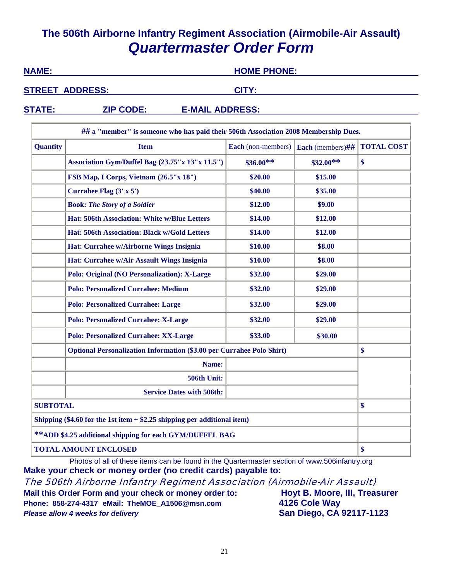### **The 506th Airborne Infantry Regiment Association (Airmobile-Air Assault)**  *Quartermaster Order Form*

| <b>NAME:</b>    |                                                                                     | <b>HOME PHONE:</b><br>CITY: |                       |                   |
|-----------------|-------------------------------------------------------------------------------------|-----------------------------|-----------------------|-------------------|
|                 | <b>STREET ADDRESS:</b>                                                              |                             |                       |                   |
| <b>STATE:</b>   | <b>ZIP CODE:</b><br><b>E-MAIL ADDRESS:</b>                                          |                             |                       |                   |
|                 | ## a "member" is someone who has paid their 506th Association 2008 Membership Dues. |                             |                       |                   |
| <b>Quantity</b> | <b>Item</b>                                                                         | Each (non-members)          | Each (members) $\#$ # | <b>TOTAL COST</b> |
|                 | Association Gym/Duffel Bag (23.75"x 13"x 11.5")                                     | $$36.00**$                  | $$32.00**$$           | \$                |
|                 | FSB Map, I Corps, Vietnam (26.5"x 18")                                              | \$20.00                     | \$15.00               |                   |
|                 | Currahee Flag $(3' \times 5')$                                                      | \$40.00                     | \$35.00               |                   |
|                 | <b>Book: The Story of a Soldier</b>                                                 | \$12.00                     | \$9.00                |                   |
|                 | <b>Hat: 506th Association: White w/Blue Letters</b>                                 | \$14.00                     | \$12.00               |                   |
|                 | <b>Hat: 506th Association: Black w/Gold Letters</b>                                 | \$14.00                     | \$12.00               |                   |
|                 | Hat: Currahee w/Airborne Wings Insignia                                             | \$10.00                     | \$8.00                |                   |
|                 | Hat: Currahee w/Air Assault Wings Insignia                                          | \$10.00                     | \$8.00                |                   |
|                 |                                                                                     |                             |                       |                   |

|                                                                              | <b>Polo: Personalized Currahee: Medium</b>   | \$32.00 | \$29.00 |    |
|------------------------------------------------------------------------------|----------------------------------------------|---------|---------|----|
|                                                                              | <b>Polo: Personalized Currahee: Large</b>    | \$32.00 | \$29.00 |    |
|                                                                              | <b>Polo: Personalized Currahee: X-Large</b>  | \$32.00 | \$29.00 |    |
|                                                                              | <b>Polo: Personalized Currahee: XX-Large</b> | \$33.00 | \$30.00 |    |
| <b>Optional Personalization Information (\$3.00 per Currahee Polo Shirt)</b> |                                              |         | \$      |    |
| Name:                                                                        |                                              |         |         |    |
| 506th Unit:                                                                  |                                              |         |         |    |
|                                                                              | <b>Service Dates with 506th:</b>             |         |         |    |
| <b>SUBTOTAL</b>                                                              |                                              |         |         | \$ |
| Shipping $(\$4.60$ for the 1st item $+ \$2.25$ shipping per additional item) |                                              |         |         |    |
| ** ADD \$4.25 additional shipping for each GYM/DUFFEL BAG                    |                                              |         |         |    |
| <b>TOTAL AMOUNT ENCLOSED</b>                                                 |                                              |         |         | \$ |

**Polo: Original (NO Personalization): X-Large**  $$32.00$  **\$29.00** \$29.00

Photos of all of these items can be found in the Quartermaster section of www.506infantry.org **Make your check or money order (no credit cards) payable to:**

The 506th Airborne Infantry Regiment Association (Airmobile-Air Assault)

Mail this Order Form and your check or money order to: **Hoyt B. Moore, III, Treasurer Phone: 858-274-4317 eMail: TheMOE\_A1506@msn.com 4126 Cole Way Please allow 4 weeks for delivery and the same of the San Diego, CA 92117-1123**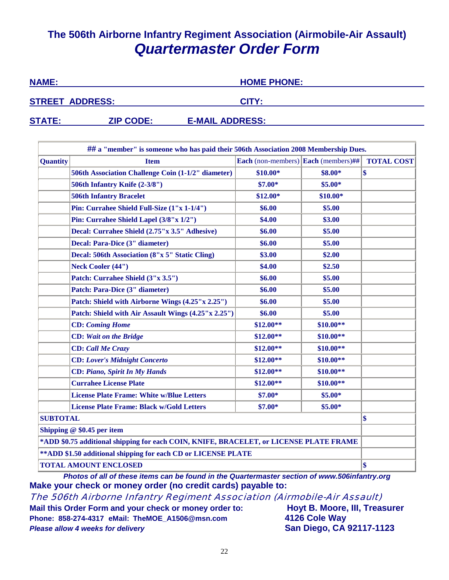### **The 506th Airborne Infantry Regiment Association (Airmobile-Air Assault)** *Quartermaster Order Form*

| <b>NAME:</b>           |                  | <b>HOME PHONE:</b>     |  |
|------------------------|------------------|------------------------|--|
| <b>STREET ADDRESS:</b> |                  | CITY:                  |  |
| <b>STATE:</b>          | <b>ZIP CODE:</b> | <b>E-MAIL ADDRESS:</b> |  |

|                                                                                        | ## a "member" is someone who has paid their 506th Association 2008 Membership Dues. |                                                   |            |                   |  |  |
|----------------------------------------------------------------------------------------|-------------------------------------------------------------------------------------|---------------------------------------------------|------------|-------------------|--|--|
| <b>Quantity</b>                                                                        | <b>Item</b>                                                                         | <b>Each</b> (non-members) <b>Each</b> (members)## |            | <b>TOTAL COST</b> |  |  |
|                                                                                        | 506th Association Challenge Coin (1-1/2" diameter)                                  | $$10.00*$                                         | \$8.00*    | $\boldsymbol{\$}$ |  |  |
|                                                                                        | 506th Infantry Knife (2-3/8")                                                       | $$7.00*$                                          | $$5.00*$   |                   |  |  |
|                                                                                        | <b>506th Infantry Bracelet</b>                                                      | $$12.00*$                                         | $$10.00*$  |                   |  |  |
|                                                                                        | Pin: Currahee Shield Full-Size (1"x 1-1/4")                                         | \$6.00                                            | \$5.00     |                   |  |  |
|                                                                                        | Pin: Currahee Shield Lapel (3/8"x 1/2")                                             | \$4.00                                            | \$3.00     |                   |  |  |
|                                                                                        | Decal: Currahee Shield (2.75"x 3.5" Adhesive)                                       | \$6.00                                            | \$5.00     |                   |  |  |
|                                                                                        | Decal: Para-Dice (3" diameter)                                                      | \$6.00                                            | \$5.00     |                   |  |  |
|                                                                                        | Decal: 506th Association (8"x 5" Static Cling)                                      | \$3.00                                            | \$2.00     |                   |  |  |
|                                                                                        | <b>Neck Cooler (44")</b>                                                            | \$4.00                                            | \$2.50     |                   |  |  |
|                                                                                        | Patch: Currahee Shield (3"x 3.5")                                                   | \$6.00                                            | \$5.00     |                   |  |  |
|                                                                                        | Patch: Para-Dice (3" diameter)                                                      | \$6.00                                            | \$5.00     |                   |  |  |
|                                                                                        | Patch: Shield with Airborne Wings (4.25"x 2.25")                                    | \$6.00                                            | \$5.00     |                   |  |  |
|                                                                                        | Patch: Shield with Air Assault Wings (4.25"x 2.25")                                 | \$6.00                                            | \$5.00     |                   |  |  |
|                                                                                        | <b>CD:</b> Coming Home                                                              | $$12.00**$                                        | $$10.00**$ |                   |  |  |
|                                                                                        | <b>CD:</b> Wait on the Bridge                                                       | $$12.00**$                                        | $$10.00**$ |                   |  |  |
|                                                                                        | <b>CD:</b> Call Me Crazy                                                            | $$12.00**$                                        | $$10.00**$ |                   |  |  |
|                                                                                        | <b>CD:</b> Lover's Midnight Concerto                                                | $$12.00**$                                        | $$10.00**$ |                   |  |  |
|                                                                                        | <b>CD: Piano, Spirit In My Hands</b>                                                | $$12.00**$                                        | $$10.00**$ |                   |  |  |
|                                                                                        | <b>Currahee License Plate</b>                                                       | $$12.00**$                                        | $$10.00**$ |                   |  |  |
|                                                                                        | <b>License Plate Frame: White w/Blue Letters</b>                                    | $$7.00*$                                          | $$5.00*$   |                   |  |  |
|                                                                                        | <b>License Plate Frame: Black w/Gold Letters</b>                                    | $$7.00*$                                          | $$5.00*$   |                   |  |  |
| <b>SUBTOTAL</b>                                                                        |                                                                                     |                                                   |            |                   |  |  |
| Shipping $@$ \$0.45 per item                                                           |                                                                                     |                                                   |            |                   |  |  |
| *ADD \$0.75 additional shipping for each COIN, KNIFE, BRACELET, or LICENSE PLATE FRAME |                                                                                     |                                                   |            |                   |  |  |
| ** ADD \$1.50 additional shipping for each CD or LICENSE PLATE                         |                                                                                     |                                                   |            |                   |  |  |
| <b>TOTAL AMOUNT ENCLOSED</b>                                                           |                                                                                     |                                                   |            |                   |  |  |

*Photos of all of these items can be found in the Quartermaster section of www.506infantry.org*  **Make your check or money order (no credit cards) payable to:**

The 506th Airborne Infantry Regiment Association (Airmobile-Air Assault) **Mail this Order Form and your check or money order to: Hoyt B. Moore, III, Treasurer**

**Phone: 858-274-4317 eMail: TheMOE\_A1506@msn.com 4126 Cole Way** *Please allow 4 weeks for delivery* **San Diego, CA 92117-1123**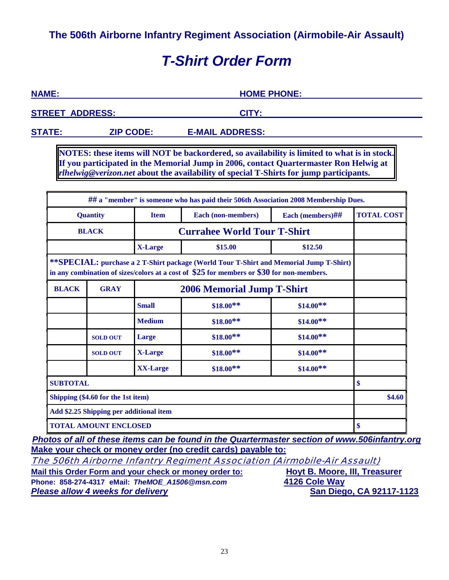## *T-Shirt Order Form*

| <b>NAME:</b>           | <b>HOME PHONE:</b> |  |
|------------------------|--------------------|--|
| <b>STREET ADDRESS:</b> | CITY:              |  |
|                        |                    |  |

**STATE: ZIP CODE: E-MAIL ADDRESS:** 

**NOTES: these items will NOT be backordered, so availability is limited to what is in stock. If you participated in the Memorial Jump in 2006, contact Quartermaster Ron Helwig at**  *rlhelwig@verizon.net* **about the availability of special T-Shirts for jump participants.**

|                                                                                                                                                                                     |                 |                 | ## a "member" is someone who has paid their 506th Association 2008 Membership Dues. |                  |                   |  |  |
|-------------------------------------------------------------------------------------------------------------------------------------------------------------------------------------|-----------------|-----------------|-------------------------------------------------------------------------------------|------------------|-------------------|--|--|
| <b>Quantity</b>                                                                                                                                                                     |                 | <b>Item</b>     | Each (non-members)                                                                  | Each (members)## | <b>TOTAL COST</b> |  |  |
| <b>BLACK</b>                                                                                                                                                                        |                 |                 | <b>Currahee World Tour T-Shirt</b>                                                  |                  |                   |  |  |
|                                                                                                                                                                                     |                 | <b>X-Large</b>  | \$15.00                                                                             | \$12.50          |                   |  |  |
| **SPECIAL: purchase a 2 T-Shirt package (World Tour T-Shirt and Memorial Jump T-Shirt)<br>in any combination of sizes/colors at a cost of \$25 for members or \$30 for non-members. |                 |                 |                                                                                     |                  |                   |  |  |
| <b>BLACK</b>                                                                                                                                                                        | <b>GRAY</b>     |                 |                                                                                     |                  |                   |  |  |
|                                                                                                                                                                                     |                 | <b>Small</b>    | $$18.00**$                                                                          | $$14.00**$       |                   |  |  |
|                                                                                                                                                                                     |                 | <b>Medium</b>   | $$18.00**$$                                                                         | $$14.00**$       |                   |  |  |
|                                                                                                                                                                                     | <b>SOLD OUT</b> | Large           | $$18.00**$                                                                          | $$14.00**$       |                   |  |  |
|                                                                                                                                                                                     | <b>SOLD OUT</b> | X-Large         | $$18.00**$$                                                                         | $$14.00**$       |                   |  |  |
|                                                                                                                                                                                     |                 | <b>XX-Large</b> | $$18.00**$$                                                                         | $$14.00**$       |                   |  |  |
| <b>SUBTOTAL</b>                                                                                                                                                                     |                 |                 |                                                                                     |                  |                   |  |  |
| Shipping (\$4.60 for the 1st item)                                                                                                                                                  |                 |                 |                                                                                     |                  |                   |  |  |
| Add \$2.25 Shipping per additional item                                                                                                                                             |                 |                 |                                                                                     |                  |                   |  |  |
| <b>TOTAL AMOUNT ENCLOSED</b>                                                                                                                                                        |                 |                 |                                                                                     |                  |                   |  |  |

*Photos of all of these items can be found in the Quartermaster section of www.506infantry.org* **Make your check or money order (no credit cards) payable to:**

The 506th Airborne Infantry Regiment Association (Airmobile-Air Assault) **Mail this Order Form and your check or money order to: Hoyt B. Moore, III, Treasurer Phone: 858-274-4317 eMail:** *TheMOE\_A1506@msn.com* **4126 Cole Way Please allow 4 weeks for delivery**